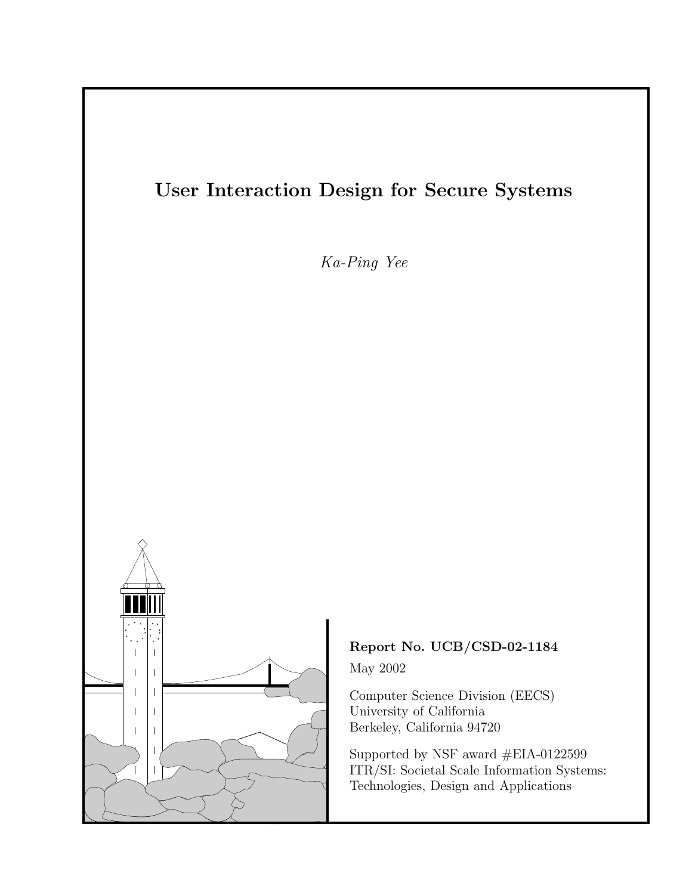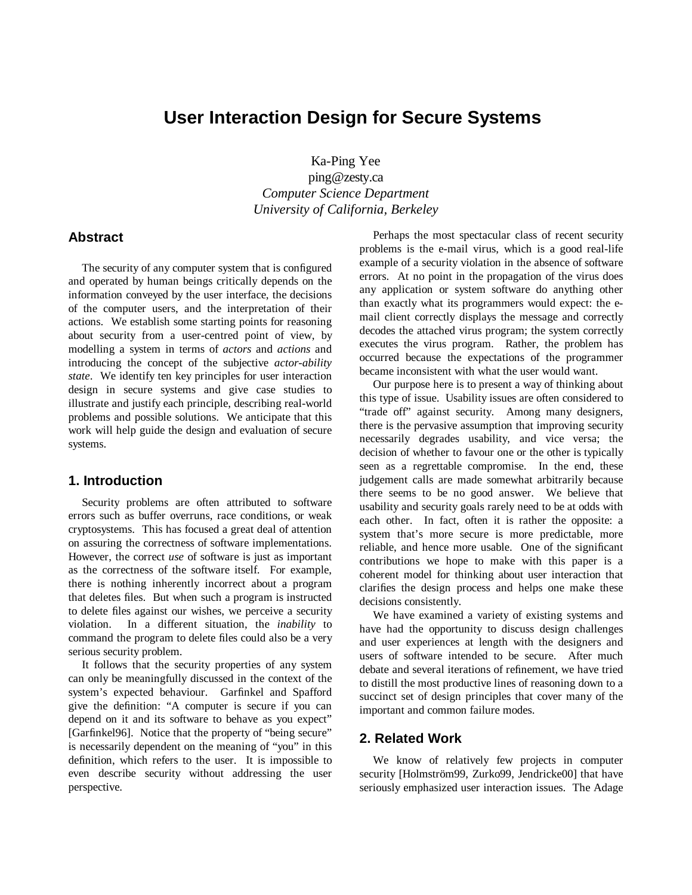# **User Interaction Design for Secure Systems**

Ka-Ping Yee ping@zesty.ca *Computer Science Department University of California, Berkeley*

# **Abstract**

The security of any computer system that is configured and operated by human beings critically depends on the information conveyed by the user interface, the decisions of the computer users, and the interpretation of their actions. We establish some starting points for reasoning about security from a user-centred point of view, by modelling a system in terms of *actors* and *actions* and introducing the concept of the subjective *actor-ability state*. We identify ten key principles for user interaction design in secure systems and give case studies to illustrate and justify each principle, describing real-world problems and possible solutions. We anticipate that this work will help guide the design and evaluation of secure systems.

# **1. Introduction**

Security problems are often attributed to software errors such as buffer overruns, race conditions, or weak cryptosystems. This has focused a great deal of attention on assuring the correctness of software implementations. However, the correct *use* of software is just as important as the correctness of the software itself. For example, there is nothing inherently incorrect about a program that deletes files. But when such a program is instructed to delete files against our wishes, we perceive a security violation. In a different situation, the *inability* to command the program to delete files could also be a very serious security problem.

It follows that the security properties of any system can only be meaningfully discussed in the context of the system's expected behaviour. Garfinkel and Spafford give the definition: "A computer is secure if you can depend on it and its software to behave as you expect" [Garfinkel96]. Notice that the property of "being secure" is necessarily dependent on the meaning of "you" in this definition, which refers to the user. It is impossible to even describe security without addressing the user perspective.

Perhaps the most spectacular class of recent security problems is the e-mail virus, which is a good real-life example of a security violation in the absence of software errors. At no point in the propagation of the virus does any application or system software do anything other than exactly what its programmers would expect: the email client correctly displays the message and correctly decodes the attached virus program; the system correctly executes the virus program. Rather, the problem has occurred because the expectations of the programmer became inconsistent with what the user would want.

Our purpose here is to present a way of thinking about this type of issue. Usability issues are often considered to "trade off" against security. Among many designers, there is the pervasive assumption that improving security necessarily degrades usability, and vice versa; the decision of whether to favour one or the other is typically seen as a regrettable compromise. In the end, these judgement calls are made somewhat arbitrarily because there seems to be no good answer. We believe that usability and security goals rarely need to be at odds with each other. In fact, often it is rather the opposite: a system that's more secure is more predictable, more reliable, and hence more usable. One of the significant contributions we hope to make with this paper is a coherent model for thinking about user interaction that clarifies the design process and helps one make these decisions consistently.

We have examined a variety of existing systems and have had the opportunity to discuss design challenges and user experiences at length with the designers and users of software intended to be secure. After much debate and several iterations of refinement, we have tried to distill the most productive lines of reasoning down to a succinct set of design principles that cover many of the important and common failure modes.

# **2. Related Work**

We know of relatively few projects in computer security [Holmström99, Zurko99, Jendricke00] that have seriously emphasized user interaction issues. The Adage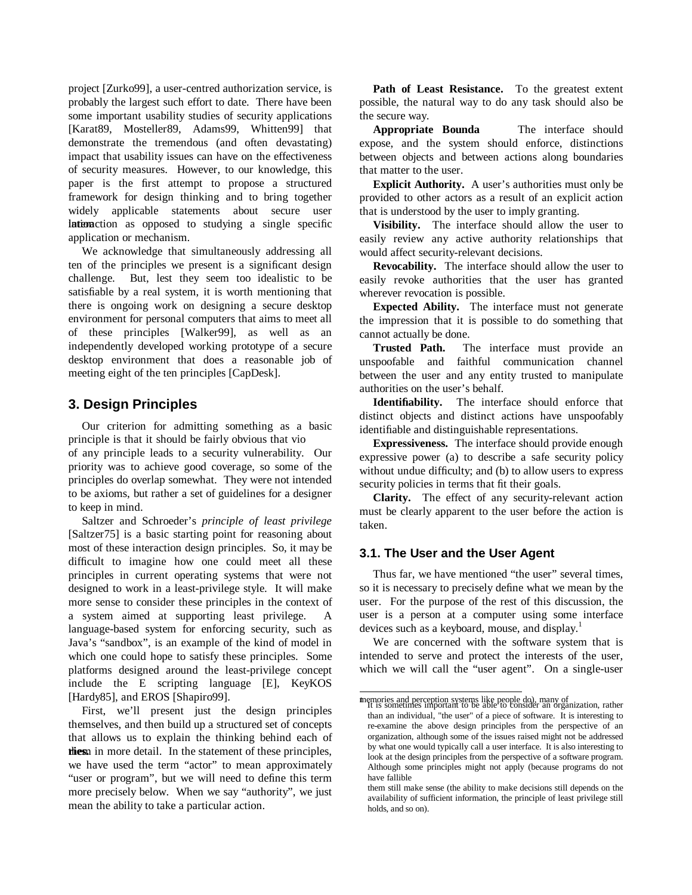project [Zurko99], a user-centred authorization service, is probably the largest such effort to date. There have been some important usability studies of security applications [Karat89, Mosteller89, Adams99, Whitten99] that demonstrate the tremendous (and often devastating) impact that usability issues can have on the effectiveness of security measures. However, to our knowledge, this paper is the first attempt to propose a structured framework for design thinking and to bring together widely applicable statements about secure user Interaction as opposed to studying a single specific application or mechanism.

We acknowledge that simultaneously addressing all ten of the principles we present is a significant design challenge. But, lest they seem too idealistic to be satisfiable by a real system, it is worth mentioning that there is ongoing work on designing a secure desktop environment for personal computers that aims to meet all of these principles [Walker99], as well as an independently developed working prototype of a secure desktop environment that does a reasonable job of meeting eight of the ten principles [CapDesk].

# **3. Design Principles**

Our criterion for admitting something as a basic principle is that it should be fairly obvious that vio of any principle leads to a security vulnerability. Our priority was to achieve good coverage, so some of the principles do overlap somewhat. They were not intended to be axioms, but rather a set of guidelines for a designer to keep in mind.

Saltzer and Schroeder's *principle of least privilege* [Saltzer75] is a basic starting point for reasoning about most of these interaction design principles. So, it may be difficult to imagine how one could meet all these principles in current operating systems that were not designed to work in a least-privilege style. It will make more sense to consider these principles in the context of a system aimed at supporting least privilege. A language-based system for enforcing security, such as Java's "sandbox", is an example of the kind of model in which one could hope to satisfy these principles. Some platforms designed around the least-privilege concept include the E scripting language [E], KeyKOS [Hardy85], and EROS [Shapiro99].

First, we'll present just the design principles themselves, and then build up a structured set of concepts that allows us to explain the thinking behind each of these in more detail. In the statement of these principles, we have used the term "actor" to mean approximately "user or program", but we will need to define this term more precisely below. When we say "authority", we just mean the ability to take a particular action.

Path of Least Resistance. To the greatest extent possible, the natural way to do any task should also be the secure way.

**Appropriate Bounda** The interface should expose, and the system should enforce, distinctions between objects and between actions along boundaries that matter to the user.

**Explicit Authority.** A user's authorities must only be provided to other actors as a result of an explicit action that is understood by the user to imply granting.

**Visibility.** The interface should allow the user to easily review any active authority relationships that would affect security-relevant decisions.

**Revocability.** The interface should allow the user to easily revoke authorities that the user has granted wherever revocation is possible.

**Expected Ability.** The interface must not generate the impression that it is possible to do something that cannot actually be done.

**Trusted Path.** The interface must provide an unspoofable and faithful communication channel between the user and any entity trusted to manipulate authorities on the user's behalf.

**Identifiability.** The interface should enforce that distinct objects and distinct actions have unspoofably identifiable and distinguishable representations.

**Expressiveness.** The interface should provide enough expressive power (a) to describe a safe security policy without undue difficulty; and (b) to allow users to express security policies in terms that fit their goals.

**Clarity.** The effect of any security-relevant action must be clearly apparent to the user before the action is taken.

# **3.1. The User and the User Agent**

Thus far, we have mentioned "the user" several times, so it is necessary to precisely define what we mean by the user. For the purpose of the rest of this discussion, the user is a person at a computer using some interface devices such as a keyboard, mouse, and display.<sup>1</sup>

We are concerned with the software system that is intended to serve and protect the interests of the user, which we will call the "user agent". On a single-user

memories and perception systems like people do), many of<br>It is sometimes important to be able to consider an organization, rather than an individual, "the user" of a piece of software. It is interesting to re-examine the above design principles from the perspective of an organization, although some of the issues raised might not be addressed by what one would typically call a user interface. It is also interesting to look at the design principles from the perspective of a software program. Although some principles might not apply (because programs do not have fallible

them still make sense (the ability to make decisions still depends on the availability of sufficient information, the principle of least privilege still holds, and so on).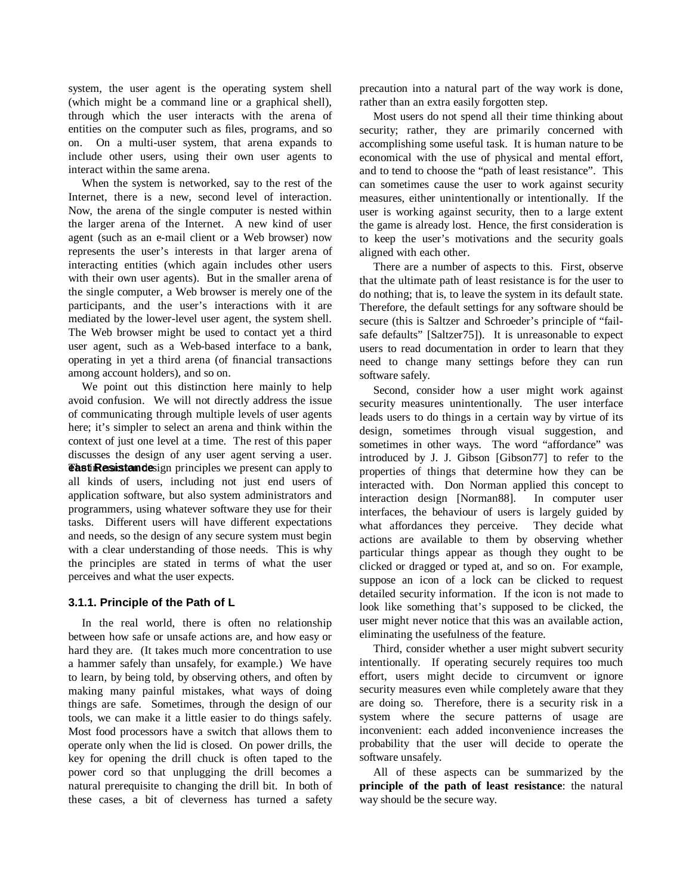system, the user agent is the operating system shell (which might be a command line or a graphical shell), through which the user interacts with the arena of entities on the computer such as files, programs, and so on. On a multi-user system, that arena expands to include other users, using their own user agents to interact within the same arena.

When the system is networked, say to the rest of the Internet, there is a new, second level of interaction. Now, the arena of the single computer is nested within the larger arena of the Internet. A new kind of user agent (such as an e-mail client or a Web browser) now represents the user's interests in that larger arena of interacting entities (which again includes other users with their own user agents). But in the smaller arena of the single computer, a Web browser is merely one of the participants, and the user's interactions with it are mediated by the lower-level user agent, the system shell. The Web browser might be used to contact yet a third user agent, such as a Web-based interface to a bank, operating in yet a third arena (of financial transactions among account holders), and so on.

We point out this distinction here mainly to help avoid confusion. We will not directly address the issue of communicating through multiple levels of user agents here; it's simpler to select an arena and think within the context of just one level at a time. The rest of this paper discusses the design of any user agent serving a user. **The interaction of the interpretation and interest in the extending Contract Can apply to** all kinds of users, including not just end users of application software, but also system administrators and programmers, using whatever software they use for their tasks. Different users will have different expectations and needs, so the design of any secure system must begin with a clear understanding of those needs. This is why the principles are stated in terms of what the user perceives and what the user expects.

# **3.1.1. Principle of the Path of L**

In the real world, there is often no relationship between how safe or unsafe actions are, and how easy or hard they are. (It takes much more concentration to use a hammer safely than unsafely, for example.) We have to learn, by being told, by observing others, and often by making many painful mistakes, what ways of doing things are safe. Sometimes, through the design of our tools, we can make it a little easier to do things safely. Most food processors have a switch that allows them to operate only when the lid is closed. On power drills, the key for opening the drill chuck is often taped to the power cord so that unplugging the drill becomes a natural prerequisite to changing the drill bit. In both of these cases, a bit of cleverness has turned a safety

precaution into a natural part of the way work is done, rather than an extra easily forgotten step.

Most users do not spend all their time thinking about security; rather, they are primarily concerned with accomplishing some useful task. It is human nature to be economical with the use of physical and mental effort, and to tend to choose the "path of least resistance". This can sometimes cause the user to work against security measures, either unintentionally or intentionally. If the user is working against security, then to a large extent the game is already lost. Hence, the first consideration is to keep the user's motivations and the security goals aligned with each other.

There are a number of aspects to this. First, observe that the ultimate path of least resistance is for the user to do nothing; that is, to leave the system in its default state. Therefore, the default settings for any software should be secure (this is Saltzer and Schroeder's principle of "failsafe defaults" [Saltzer75]). It is unreasonable to expect users to read documentation in order to learn that they need to change many settings before they can run software safely.

Second, consider how a user might work against security measures unintentionally. The user interface leads users to do things in a certain way by virtue of its design, sometimes through visual suggestion, and sometimes in other ways. The word "affordance" was introduced by J. J. Gibson [Gibson77] to refer to the properties of things that determine how they can be interacted with. Don Norman applied this concept to interaction design [Norman88]. In computer user interfaces, the behaviour of users is largely guided by what affordances they perceive. They decide what actions are available to them by observing whether particular things appear as though they ought to be clicked or dragged or typed at, and so on. For example, suppose an icon of a lock can be clicked to request detailed security information. If the icon is not made to look like something that's supposed to be clicked, the user might never notice that this was an available action, eliminating the usefulness of the feature.

Third, consider whether a user might subvert security intentionally. If operating securely requires too much effort, users might decide to circumvent or ignore security measures even while completely aware that they are doing so. Therefore, there is a security risk in a system where the secure patterns of usage are inconvenient: each added inconvenience increases the probability that the user will decide to operate the software unsafely.

All of these aspects can be summarized by the **principle of the path of least resistance**: the natural way should be the secure way.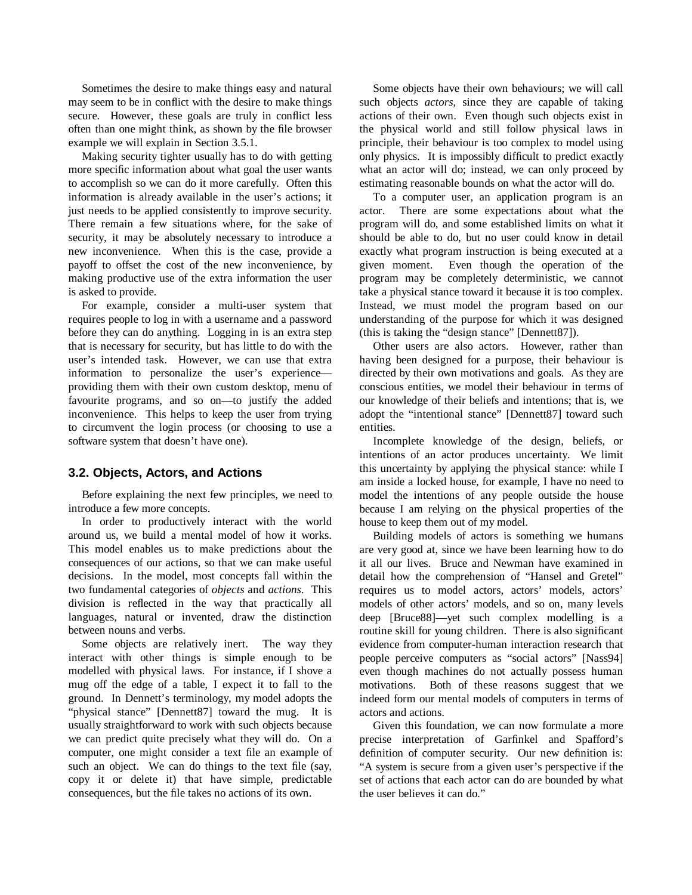Sometimes the desire to make things easy and natural may seem to be in conflict with the desire to make things secure. However, these goals are truly in conflict less often than one might think, as shown by the file browser example we will explain in Section 3.5.1.

Making security tighter usually has to do with getting more specific information about what goal the user wants to accomplish so we can do it more carefully. Often this information is already available in the user's actions; it just needs to be applied consistently to improve security. There remain a few situations where, for the sake of security, it may be absolutely necessary to introduce a new inconvenience. When this is the case, provide a payoff to offset the cost of the new inconvenience, by making productive use of the extra information the user is asked to provide.

For example, consider a multi-user system that requires people to log in with a username and a password before they can do anything. Logging in is an extra step that is necessary for security, but has little to do with the user's intended task. However, we can use that extra information to personalize the user's experience providing them with their own custom desktop, menu of favourite programs, and so on—to justify the added inconvenience. This helps to keep the user from trying to circumvent the login process (or choosing to use a software system that doesn't have one).

# **3.2. Objects, Actors, and Actions**

Before explaining the next few principles, we need to introduce a few more concepts.

In order to productively interact with the world around us, we build a mental model of how it works. This model enables us to make predictions about the consequences of our actions, so that we can make useful decisions. In the model, most concepts fall within the two fundamental categories of *objects* and *actions*. This division is reflected in the way that practically all languages, natural or invented, draw the distinction between nouns and verbs.

Some objects are relatively inert. The way they interact with other things is simple enough to be modelled with physical laws. For instance, if I shove a mug off the edge of a table, I expect it to fall to the ground. In Dennett's terminology, my model adopts the "physical stance" [Dennett87] toward the mug. It is usually straightforward to work with such objects because we can predict quite precisely what they will do. On a computer, one might consider a text file an example of such an object. We can do things to the text file (say, copy it or delete it) that have simple, predictable consequences, but the file takes no actions of its own.

Some objects have their own behaviours; we will call such objects *actors*, since they are capable of taking actions of their own. Even though such objects exist in the physical world and still follow physical laws in principle, their behaviour is too complex to model using only physics. It is impossibly difficult to predict exactly what an actor will do; instead, we can only proceed by estimating reasonable bounds on what the actor will do.

To a computer user, an application program is an actor. There are some expectations about what the program will do, and some established limits on what it should be able to do, but no user could know in detail exactly what program instruction is being executed at a given moment. Even though the operation of the program may be completely deterministic, we cannot take a physical stance toward it because it is too complex. Instead, we must model the program based on our understanding of the purpose for which it was designed (this is taking the "design stance" [Dennett87]).

Other users are also actors. However, rather than having been designed for a purpose, their behaviour is directed by their own motivations and goals. As they are conscious entities, we model their behaviour in terms of our knowledge of their beliefs and intentions; that is, we adopt the "intentional stance" [Dennett87] toward such entities.

Incomplete knowledge of the design, beliefs, or intentions of an actor produces uncertainty. We limit this uncertainty by applying the physical stance: while I am inside a locked house, for example, I have no need to model the intentions of any people outside the house because I am relying on the physical properties of the house to keep them out of my model.

Building models of actors is something we humans are very good at, since we have been learning how to do it all our lives. Bruce and Newman have examined in detail how the comprehension of "Hansel and Gretel" requires us to model actors, actors' models, actors' models of other actors' models, and so on, many levels deep [Bruce88]—yet such complex modelling is a routine skill for young children. There is also significant evidence from computer-human interaction research that people perceive computers as "social actors" [Nass94] even though machines do not actually possess human motivations. Both of these reasons suggest that we indeed form our mental models of computers in terms of actors and actions.

Given this foundation, we can now formulate a more precise interpretation of Garfinkel and Spafford's definition of computer security. Our new definition is: "A system is secure from a given user's perspective if the set of actions that each actor can do are bounded by what the user believes it can do."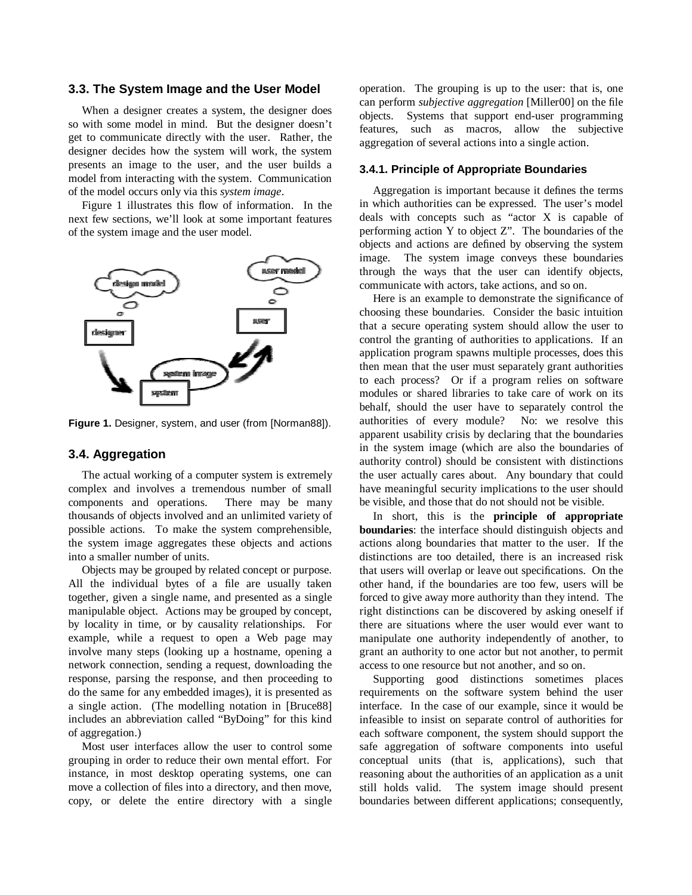# **3.3. The System Image and the User Model**

When a designer creates a system, the designer does so with some model in mind. But the designer doesn't get to communicate directly with the user. Rather, the designer decides how the system will work, the system presents an image to the user, and the user builds a model from interacting with the system. Communication of the model occurs only via this *system image*.

Figure 1 illustrates this flow of information. In the next few sections, we'll look at some important features of the system image and the user model.



**Figure 1.** Designer, system, and user (from [Norman88]).

# **3.4. Aggregation**

The actual working of a computer system is extremely complex and involves a tremendous number of small components and operations. There may be many thousands of objects involved and an unlimited variety of possible actions. To make the system comprehensible, the system image aggregates these objects and actions into a smaller number of units.

Objects may be grouped by related concept or purpose. All the individual bytes of a file are usually taken together, given a single name, and presented as a single manipulable object. Actions may be grouped by concept, by locality in time, or by causality relationships. For example, while a request to open a Web page may involve many steps (looking up a hostname, opening a network connection, sending a request, downloading the response, parsing the response, and then proceeding to do the same for any embedded images), it is presented as a single action. (The modelling notation in [Bruce88] includes an abbreviation called "ByDoing" for this kind of aggregation.)

Most user interfaces allow the user to control some grouping in order to reduce their own mental effort. For instance, in most desktop operating systems, one can move a collection of files into a directory, and then move, copy, or delete the entire directory with a single operation. The grouping is up to the user: that is, one can perform *subjective aggregation* [Miller00] on the file objects. Systems that support end-user programming features, such as macros, allow the subjective aggregation of several actions into a single action.

### **3.4.1. Principle of Appropriate Boundaries**

Aggregation is important because it defines the terms in which authorities can be expressed. The user's model deals with concepts such as "actor X is capable of performing action Y to object  $Z$ ". The boundaries of the objects and actions are defined by observing the system image. The system image conveys these boundaries through the ways that the user can identify objects, communicate with actors, take actions, and so on.

Here is an example to demonstrate the significance of choosing these boundaries. Consider the basic intuition that a secure operating system should allow the user to control the granting of authorities to applications. If an application program spawns multiple processes, does this then mean that the user must separately grant authorities to each process? Or if a program relies on software modules or shared libraries to take care of work on its behalf, should the user have to separately control the authorities of every module? No: we resolve this apparent usability crisis by declaring that the boundaries in the system image (which are also the boundaries of authority control) should be consistent with distinctions the user actually cares about. Any boundary that could have meaningful security implications to the user should be visible, and those that do not should not be visible.

In short, this is the **principle of appropriate boundaries**: the interface should distinguish objects and actions along boundaries that matter to the user. If the distinctions are too detailed, there is an increased risk that users will overlap or leave out specifications. On the other hand, if the boundaries are too few, users will be forced to give away more authority than they intend. The right distinctions can be discovered by asking oneself if there are situations where the user would ever want to manipulate one authority independently of another, to grant an authority to one actor but not another, to permit access to one resource but not another, and so on.

Supporting good distinctions sometimes places requirements on the software system behind the user interface. In the case of our example, since it would be infeasible to insist on separate control of authorities for each software component, the system should support the safe aggregation of software components into useful conceptual units (that is, applications), such that reasoning about the authorities of an application as a unit still holds valid. The system image should present boundaries between different applications; consequently,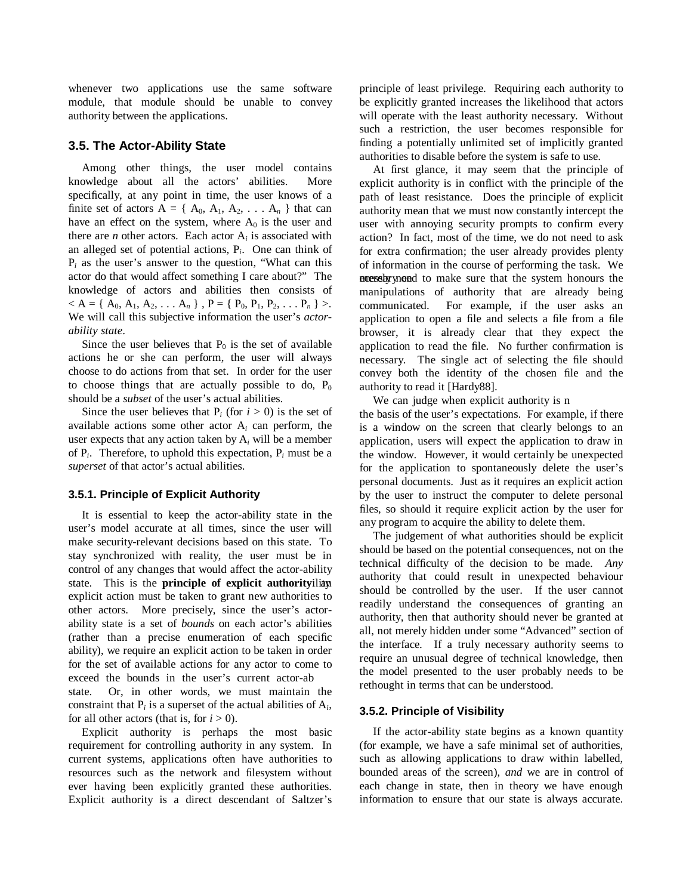whenever two applications use the same software module, that module should be unable to convey authority between the applications.

# **3.5. The Actor-Ability State**

Among other things, the user model contains knowledge about all the actors' abilities. More specifically, at any point in time, the user knows of a finite set of actors  $A = \{ A_0, A_1, A_2, \ldots, A_n \}$  that can have an effect on the system, where  $A_0$  is the user and there are *n* other actors. Each actor  $A_i$  is associated with an alleged set of potential actions, P*i*. One can think of  $P_i$  as the user's answer to the question, "What can this actor do that would affect something I care about?" The knowledge of actors and abilities then consists of  $< A = \{A_0, A_1, A_2, \ldots, A_n\}$ ,  $P = \{P_0, P_1, P_2, \ldots, P_n\} >$ . We will call this subjective information the user's *actorability state*.

Since the user believes that  $P_0$  is the set of available actions he or she can perform, the user will always choose to do actions from that set. In order for the user to choose things that are actually possible to do,  $P_0$ should be a *subset* of the user's actual abilities.

Since the user believes that  $P_i$  (for  $i > 0$ ) is the set of available actions some other actor A*<sup>i</sup>* can perform, the user expects that any action taken by A*<sup>i</sup>* will be a member of  $P_i$ . Therefore, to uphold this expectation,  $P_i$  must be a *superset* of that actor's actual abilities.

### **3.5.1. Principle of Explicit Authority**

It is essential to keep the actor-ability state in the user's model accurate at all times, since the user will make security-relevant decisions based on this state. To stay synchronized with reality, the user must be in control of any changes that would affect the actor-ability state. This is the **principle of explicit authority**ilian explicit action must be taken to grant new authorities to other actors. More precisely, since the user's actorability state is a set of *bounds* on each actor's abilities (rather than a precise enumeration of each specific ability), we require an explicit action to be taken in order for the set of available actions for any actor to come to exceed the bounds in the user's current actor-ab state. Or, in other words, we must maintain the constraint that  $P_i$  is a superset of the actual abilities of  $A_i$ , for all other actors (that is, for  $i > 0$ ).

Explicit authority is perhaps the most basic requirement for controlling authority in any system. In current systems, applications often have authorities to resources such as the network and filesystem without ever having been explicitly granted these authorities. Explicit authority is a direct descendant of Saltzer's principle of least privilege. Requiring each authority to be explicitly granted increases the likelihood that actors will operate with the least authority necessary. Without such a restriction, the user becomes responsible for finding a potentially unlimited set of implicitly granted authorities to disable before the system is safe to use.

At first glance, it may seem that the principle of explicit authority is in conflict with the principle of the path of least resistance. Does the principle of explicit authority mean that we must now constantly intercept the user with annoying security prompts to confirm every action? In fact, most of the time, we do not need to ask for extra confirmation; the user already provides plenty of information in the course of performing the task. We ecessly yneed to make sure that the system honours the manipulations of authority that are already being communicated. For example, if the user asks an application to open a file and selects a file from a file browser, it is already clear that they expect the application to read the file. No further confirmation is necessary. The single act of selecting the file should convey both the identity of the chosen file and the authority to read it [Hardy88].

We can judge when explicit authority is n the basis of the user's expectations. For example, if there is a window on the screen that clearly belongs to an application, users will expect the application to draw in the window. However, it would certainly be unexpected for the application to spontaneously delete the user's personal documents. Just as it requires an explicit action by the user to instruct the computer to delete personal files, so should it require explicit action by the user for any program to acquire the ability to delete them.

The judgement of what authorities should be explicit should be based on the potential consequences, not on the technical difficulty of the decision to be made. *Any* authority that could result in unexpected behaviour should be controlled by the user. If the user cannot readily understand the consequences of granting an authority, then that authority should never be granted at all, not merely hidden under some "Advanced" section of the interface. If a truly necessary authority seems to require an unusual degree of technical knowledge, then the model presented to the user probably needs to be rethought in terms that can be understood.

### **3.5.2. Principle of Visibility**

If the actor-ability state begins as a known quantity (for example, we have a safe minimal set of authorities, such as allowing applications to draw within labelled, bounded areas of the screen), *and* we are in control of each change in state, then in theory we have enough information to ensure that our state is always accurate.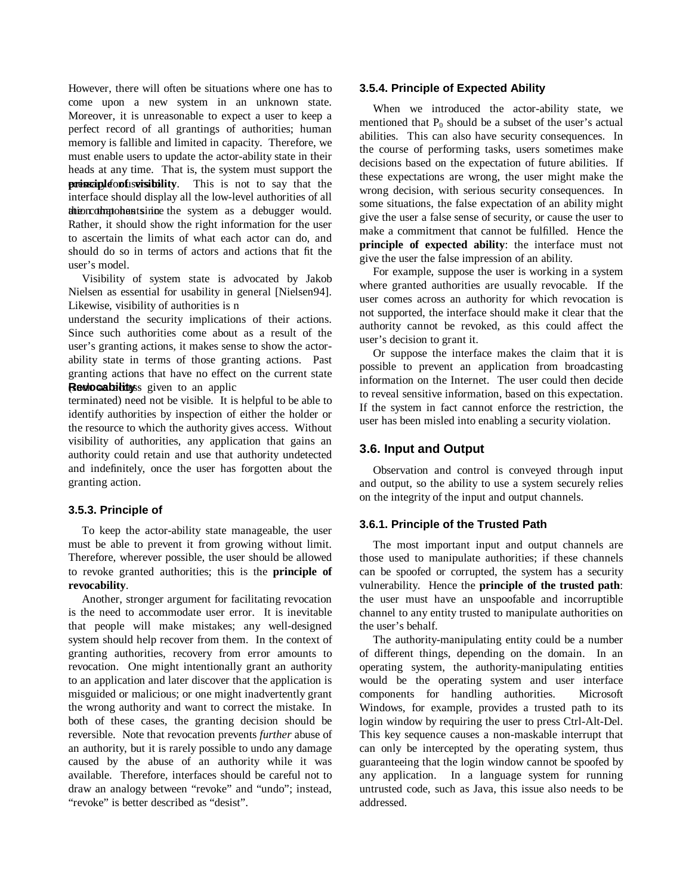However, there will often be situations where one has to come upon a new system in an unknown state. Moreover, it is unreasonable to expect a user to keep a perfect record of all grantings of authorities; human memory is fallible and limited in capacity. Therefore, we must enable users to update the actor-ability state in their heads at any time. That is, the system must support the **principle of is visibility**. This is not to say that the interface should display all the low-level authorities of all the incomponent since the system as a debugger would. Rather, it should show the right information for the user to ascertain the limits of what each actor can do, and should do so in terms of actors and actions that fit the user's model.

Visibility of system state is advocated by Jakob Nielsen as essential for usability in general [Nielsen94]. Likewise, visibility of authorities is n

understand the security implications of their actions. Since such authorities come about as a result of the user's granting actions, it makes sense to show the actorability state in terms of those granting actions. Past granting actions that have no effect on the current state Reviocabilitys given to an applic

terminated) need not be visible. It is helpful to be able to identify authorities by inspection of either the holder or the resource to which the authority gives access. Without visibility of authorities, any application that gains an authority could retain and use that authority undetected and indefinitely, once the user has forgotten about the granting action.

# **3.5.3. Principle of**

To keep the actor-ability state manageable, the user must be able to prevent it from growing without limit. Therefore, wherever possible, the user should be allowed to revoke granted authorities; this is the **principle of revocability**.

Another, stronger argument for facilitating revocation is the need to accommodate user error. It is inevitable that people will make mistakes; any well-designed system should help recover from them. In the context of granting authorities, recovery from error amounts to revocation. One might intentionally grant an authority to an application and later discover that the application is misguided or malicious; or one might inadvertently grant the wrong authority and want to correct the mistake. In both of these cases, the granting decision should be reversible. Note that revocation prevents *further* abuse of an authority, but it is rarely possible to undo any damage caused by the abuse of an authority while it was available. Therefore, interfaces should be careful not to draw an analogy between "revoke" and "undo"; instead, "revoke" is better described as "desist".

#### **3.5.4. Principle of Expected Ability**

When we introduced the actor-ability state, we mentioned that  $P_0$  should be a subset of the user's actual abilities. This can also have security consequences. In the course of performing tasks, users sometimes make decisions based on the expectation of future abilities. If these expectations are wrong, the user might make the wrong decision, with serious security consequences. In some situations, the false expectation of an ability might give the user a false sense of security, or cause the user to make a commitment that cannot be fulfilled. Hence the **principle of expected ability**: the interface must not give the user the false impression of an ability.

For example, suppose the user is working in a system where granted authorities are usually revocable. If the user comes across an authority for which revocation is not supported, the interface should make it clear that the authority cannot be revoked, as this could affect the user's decision to grant it.

Or suppose the interface makes the claim that it is possible to prevent an application from broadcasting information on the Internet. The user could then decide to reveal sensitive information, based on this expectation. If the system in fact cannot enforce the restriction, the user has been misled into enabling a security violation.

# **3.6. Input and Output**

Observation and control is conveyed through input and output, so the ability to use a system securely relies on the integrity of the input and output channels.

#### **3.6.1. Principle of the Trusted Path**

The most important input and output channels are those used to manipulate authorities; if these channels can be spoofed or corrupted, the system has a security vulnerability. Hence the **principle of the trusted path**: the user must have an unspoofable and incorruptible channel to any entity trusted to manipulate authorities on the user's behalf.

The authority-manipulating entity could be a number of different things, depending on the domain. In an operating system, the authority-manipulating entities would be the operating system and user interface components for handling authorities. Microsoft Windows, for example, provides a trusted path to its login window by requiring the user to press Ctrl-Alt-Del. This key sequence causes a non-maskable interrupt that can only be intercepted by the operating system, thus guaranteeing that the login window cannot be spoofed by any application. In a language system for running untrusted code, such as Java, this issue also needs to be addressed.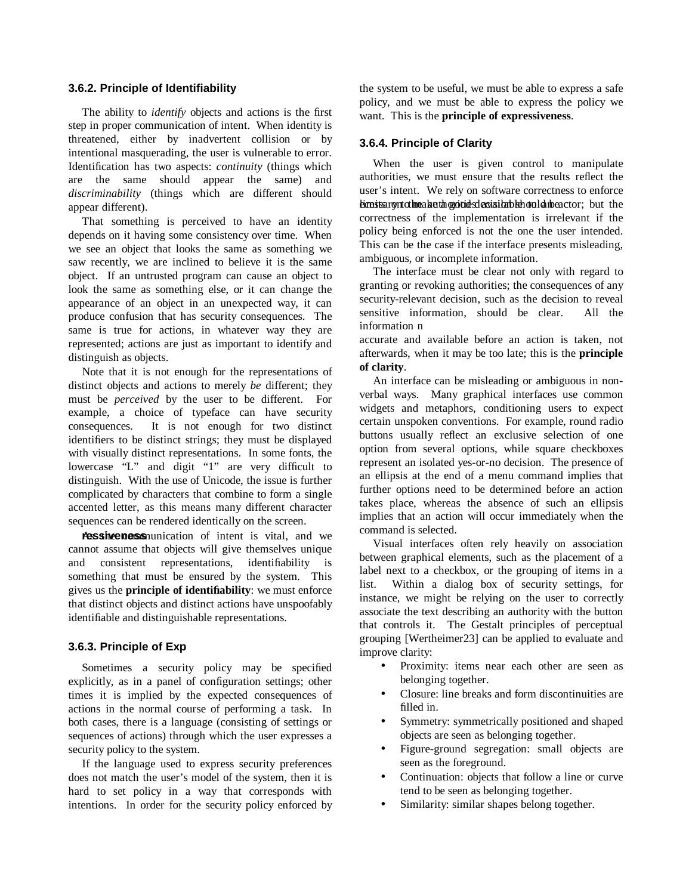# **3.6.2. Principle of Identifiability**

The ability to *identify* objects and actions is the first step in proper communication of intent. When identity is threatened, either by inadvertent collision or by intentional masquerading, the user is vulnerable to error. Identification has two aspects: *continuity* (things which are the same should appear the same) and *discriminability* (things which are different should appear different).

That something is perceived to have an identity depends on it having some consistency over time. When we see an object that looks the same as something we saw recently, we are inclined to believe it is the same object. If an untrusted program can cause an object to look the same as something else, or it can change the appearance of an object in an unexpected way, it can produce confusion that has security consequences. The same is true for actions, in whatever way they are represented; actions are just as important to identify and distinguish as objects.

Note that it is not enough for the representations of distinct objects and actions to merely *be* different; they must be *perceived* by the user to be different. For example, a choice of typeface can have security consequences. It is not enough for two distinct identifiers to be distinct strings; they must be displayed with visually distinct representations. In some fonts, the lowercase "L" and digit "1" are very difficult to distinguish. With the use of Unicode, the issue is further complicated by characters that combine to form a single accented letter, as this means many different character sequences can be rendered identically on the screen.

**ressiveness** nunication of intent is vital, and we cannot assume that objects will give themselves unique and consistent representations, identifiability is something that must be ensured by the system. This gives us the **principle of identifiability**: we must enforce that distinct objects and distinct actions have unspoofably identifiable and distinguishable representations.

#### **3.6.3. Principle of Exp**

Sometimes a security policy may be specified explicitly, as in a panel of configuration settings; other times it is implied by the expected consequences of actions in the normal course of performing a task. In both cases, there is a language (consisting of settings or sequences of actions) through which the user expresses a security policy to the system.

If the language used to express security preferences does not match the user's model of the system, then it is hard to set policy in a way that corresponds with intentions. In order for the security policy enforced by the system to be useful, we must be able to express a safe policy, and we must be able to express the policy we want. This is the **principle of expressiveness**.

## **3.6.4. Principle of Clarity**

When the user is given control to manipulate authorities, we must ensure that the results reflect the user's intent. We rely on software correctness to enforce ekonais sary nto the a kao the goid of schedular behavior detector; but the correctness of the implementation is irrelevant if the policy being enforced is not the one the user intended. This can be the case if the interface presents misleading, ambiguous, or incomplete information.

The interface must be clear not only with regard to granting or revoking authorities; the consequences of any security-relevant decision, such as the decision to reveal<br>sensitive information, should be clear. All the sensitive information, should be clear. information n

accurate and available before an action is taken, not afterwards, when it may be too late; this is the **principle of clarity**.

An interface can be misleading or ambiguous in nonverbal ways. Many graphical interfaces use common widgets and metaphors, conditioning users to expect certain unspoken conventions. For example, round radio buttons usually reflect an exclusive selection of one option from several options, while square checkboxes represent an isolated yes-or-no decision. The presence of an ellipsis at the end of a menu command implies that further options need to be determined before an action takes place, whereas the absence of such an ellipsis implies that an action will occur immediately when the command is selected.

Visual interfaces often rely heavily on association between graphical elements, such as the placement of a label next to a checkbox, or the grouping of items in a list. Within a dialog box of security settings, for instance, we might be relying on the user to correctly associate the text describing an authority with the button that controls it. The Gestalt principles of perceptual grouping [Wertheimer23] can be applied to evaluate and improve clarity:

- Proximity: items near each other are seen as belonging together.
- Closure: line breaks and form discontinuities are filled in.
- Symmetry: symmetrically positioned and shaped objects are seen as belonging together.
- Figure-ground segregation: small objects are seen as the foreground.
- Continuation: objects that follow a line or curve tend to be seen as belonging together.
- Similarity: similar shapes belong together.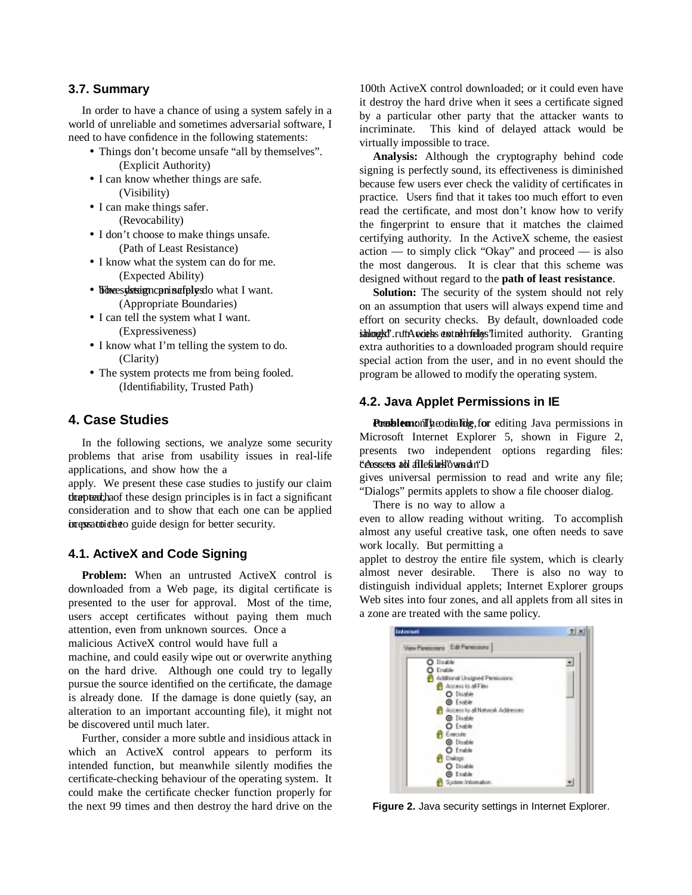## **3.7. Summary**

In order to have a chance of using a system safely in a world of unreliable and sometimes adversarial software, I need to have confidence in the following statements:

- Things don't become unsafe "all by themselves". (Explicit Authority)
- I can know whether things are safe. (Visibility)
- I can make things safer. (Revocability)
- I don't choose to make things unsafe. (Path of Least Resistance)
- I know what the system can do for me. (Expected Ability)
- Followees yksteign cpnins af plyes do what I want. (Appropriate Boundaries)
- I can tell the system what I want. (Expressiveness)
- I know what I'm telling the system to do. (Clarity)
- The system protects me from being fooled. (Identifiability, Trusted Path)

# **4. Case Studies**

In the following sections, we analyze some security problems that arise from usability issues in real-life applications, and show how the a

apply. We present these case studies to justify our claim the these design principles is in fact a significant consideration and to show that each one can be applied contractoriable to guide design for better security.

# **4.1. ActiveX and Code Signing**

**Problem:** When an untrusted ActiveX control is downloaded from a Web page, its digital certificate is presented to the user for approval. Most of the time, users accept certificates without paying them much attention, even from unknown sources. Once a

malicious ActiveX control would have full a

machine, and could easily wipe out or overwrite anything on the hard drive. Although one could try to legally pursue the source identified on the certificate, the damage is already done. If the damage is done quietly (say, an alteration to an important accounting file), it might not be discovered until much later.

Further, consider a more subtle and insidious attack in which an ActiveX control appears to perform its intended function, but meanwhile silently modifies the certificate-checking behaviour of the operating system. It could make the certificate checker function properly for the next 99 times and then destroy the hard drive on the

100th ActiveX control downloaded; or it could even have it destroy the hard drive when it sees a certificate signed by a particular other party that the attacker wants to incriminate. This kind of delayed attack would be virtually impossible to trace.

**Analysis:** Although the cryptography behind code signing is perfectly sound, its effectiveness is diminished because few users ever check the validity of certificates in practice. Users find that it takes too much effort to even read the certificate, and most don't know how to verify the fingerprint to ensure that it matches the claimed certifying authority. In the ActiveX scheme, the easiest action — to simply click "Okay" and proceed — is also the most dangerous. It is clear that this scheme was designed without regard to the **path of least resistance**.

**Solution:** The security of the system should not rely on an assumption that users will always expend time and effort on security checks. By default, downloaded code ishloogki'.ruth A waiths that the files'limited authority. Granting extra authorities to a downloaded program should require special action from the user, and in no event should the program be allowed to modify the operating system.

# **4.2. Java Applet Permissions in IE**

Puroblemonllheodialidg, for editing Java permissions in Microsoft Internet Explorer 5, shown in Figure 2, presents two independent options regarding files: cesses ad filefilad own an D

gives universal permission to read and write any file; "Dialogs" permits applets to show a file chooser dialog.

There is no way to allow a

even to allow reading without writing. To accomplish almost any useful creative task, one often needs to save work locally. But permitting a

applet to destroy the entire file system, which is clearly almost never desirable. There is also no way to distinguish individual applets; Internet Explorer groups Web sites into four zones, and all applets from all sites in a zone are treated with the same policy.



**Figure 2.** Java security settings in Internet Explorer.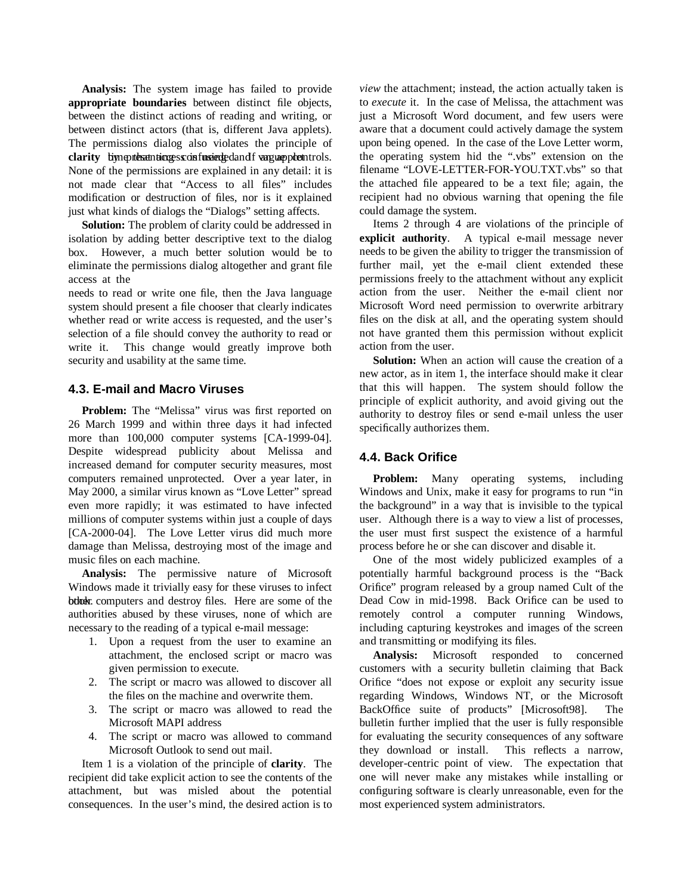**Analysis:** The system image has failed to provide **appropriate boundaries** between distinct file objects, between the distinct actions of reading and writing, or between distinct actors (that is, different Java applets). The permissions dialog also violates the principle of clarity by neutos anticupes confusion bed and frequent potent rols. None of the permissions are explained in any detail: it is not made clear that "Access to all files" includes modification or destruction of files, nor is it explained just what kinds of dialogs the "Dialogs" setting affects.

**Solution:** The problem of clarity could be addressed in isolation by adding better descriptive text to the dialog box. However, a much better solution would be to eliminate the permissions dialog altogether and grant file access at the

needs to read or write one file, then the Java language system should present a file chooser that clearly indicates whether read or write access is requested, and the user's selection of a file should convey the authority to read or write it. This change would greatly improve both security and usability at the same time.

# **4.3. E-mail and Macro Viruses**

**Problem:** The "Melissa" virus was first reported on 26 March 1999 and within three days it had infected more than 100,000 computer systems [CA-1999-04]. Despite widespread publicity about Melissa and increased demand for computer security measures, most computers remained unprotected. Over a year later, in May 2000, a similar virus known as "Love Letter" spread even more rapidly; it was estimated to have infected millions of computer systems within just a couple of days [CA-2000-04]. The Love Letter virus did much more damage than Melissa, destroying most of the image and music files on each machine.

**Analysis:** The permissive nature of Microsoft Windows made it trivially easy for these viruses to infect btholder. computers and destroy files. Here are some of the authorities abused by these viruses, none of which are necessary to the reading of a typical e-mail message:

- 1. Upon a request from the user to examine an attachment, the enclosed script or macro was given permission to execute.
- 2. The script or macro was allowed to discover all the files on the machine and overwrite them.
- 3. The script or macro was allowed to read the Microsoft MAPI address
- 4. The script or macro was allowed to command Microsoft Outlook to send out mail.

Item 1 is a violation of the principle of **clarity**. The recipient did take explicit action to see the contents of the attachment, but was misled about the potential consequences. In the user's mind, the desired action is to

*view* the attachment; instead, the action actually taken is to *execute* it. In the case of Melissa, the attachment was just a Microsoft Word document, and few users were aware that a document could actively damage the system upon being opened. In the case of the Love Letter worm, the operating system hid the ".vbs" extension on the filename "LOVE-LETTER-FOR-YOU.TXT.vbs" so that the attached file appeared to be a text file; again, the recipient had no obvious warning that opening the file could damage the system.

Items 2 through 4 are violations of the principle of **explicit authority**. A typical e-mail message never needs to be given the ability to trigger the transmission of further mail, yet the e-mail client extended these permissions freely to the attachment without any explicit action from the user. Neither the e-mail client nor Microsoft Word need permission to overwrite arbitrary files on the disk at all, and the operating system should not have granted them this permission without explicit action from the user.

**Solution:** When an action will cause the creation of a new actor, as in item 1, the interface should make it clear that this will happen. The system should follow the principle of explicit authority, and avoid giving out the authority to destroy files or send e-mail unless the user specifically authorizes them.

# **4.4. Back Orifice**

**Problem:** Many operating systems, including Windows and Unix, make it easy for programs to run "in the background" in a way that is invisible to the typical user. Although there is a way to view a list of processes, the user must first suspect the existence of a harmful process before he or she can discover and disable it.

One of the most widely publicized examples of a potentially harmful background process is the "Back Orifice" program released by a group named Cult of the Dead Cow in mid-1998. Back Orifice can be used to remotely control a computer running Windows, including capturing keystrokes and images of the screen and transmitting or modifying its files.

**Analysis:** Microsoft responded to concerned customers with a security bulletin claiming that Back Orifice "does not expose or exploit any security issue regarding Windows, Windows NT, or the Microsoft BackOffice suite of products" [Microsoft98]. The bulletin further implied that the user is fully responsible for evaluating the security consequences of any software they download or install. This reflects a narrow, developer-centric point of view. The expectation that one will never make any mistakes while installing or configuring software is clearly unreasonable, even for the most experienced system administrators.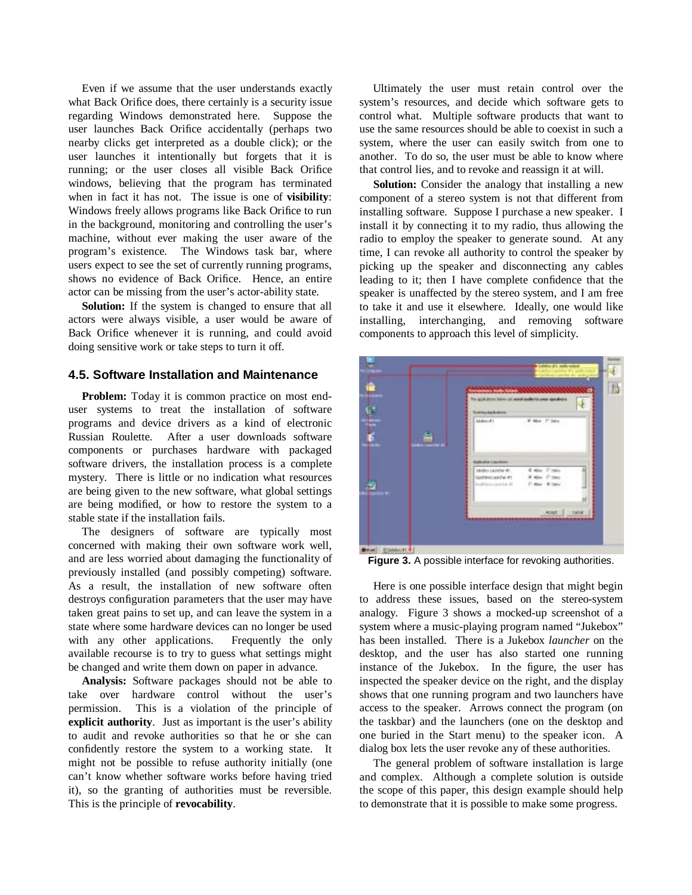Even if we assume that the user understands exactly what Back Orifice does, there certainly is a security issue regarding Windows demonstrated here. Suppose the user launches Back Orifice accidentally (perhaps two nearby clicks get interpreted as a double click); or the user launches it intentionally but forgets that it is running; or the user closes all visible Back Orifice windows, believing that the program has terminated when in fact it has not. The issue is one of **visibility**: Windows freely allows programs like Back Orifice to run in the background, monitoring and controlling the user's machine, without ever making the user aware of the program's existence. The Windows task bar, where users expect to see the set of currently running programs, shows no evidence of Back Orifice. Hence, an entire actor can be missing from the user's actor-ability state.

**Solution:** If the system is changed to ensure that all actors were always visible, a user would be aware of Back Orifice whenever it is running, and could avoid doing sensitive work or take steps to turn it off.

#### **4.5. Software Installation and Maintenance**

**Problem:** Today it is common practice on most enduser systems to treat the installation of software programs and device drivers as a kind of electronic Russian Roulette. After a user downloads software components or purchases hardware with packaged software drivers, the installation process is a complete mystery. There is little or no indication what resources are being given to the new software, what global settings are being modified, or how to restore the system to a stable state if the installation fails.

The designers of software are typically most concerned with making their own software work well, and are less worried about damaging the functionality of previously installed (and possibly competing) software. As a result, the installation of new software often destroys configuration parameters that the user may have taken great pains to set up, and can leave the system in a state where some hardware devices can no longer be used with any other applications. Frequently the only available recourse is to try to guess what settings might be changed and write them down on paper in advance.

**Analysis:** Software packages should not be able to take over hardware control without the user's permission. This is a violation of the principle of **explicit authority**. Just as important is the user's ability to audit and revoke authorities so that he or she can confidently restore the system to a working state. It might not be possible to refuse authority initially (one can't know whether software works before having tried it), so the granting of authorities must be reversible. This is the principle of **revocability**.

Ultimately the user must retain control over the system's resources, and decide which software gets to control what. Multiple software products that want to use the same resources should be able to coexist in such a system, where the user can easily switch from one to another. To do so, the user must be able to know where that control lies, and to revoke and reassign it at will.

**Solution:** Consider the analogy that installing a new component of a stereo system is not that different from installing software. Suppose I purchase a new speaker. I install it by connecting it to my radio, thus allowing the radio to employ the speaker to generate sound. At any time, I can revoke all authority to control the speaker by picking up the speaker and disconnecting any cables leading to it; then I have complete confidence that the speaker is unaffected by the stereo system, and I am free to take it and use it elsewhere. Ideally, one would like installing, interchanging, and removing software components to approach this level of simplicity.



**Figure 3.** A possible interface for revoking authorities.

Here is one possible interface design that might begin to address these issues, based on the stereo-system analogy. Figure 3 shows a mocked-up screenshot of a system where a music-playing program named "Jukebox" has been installed. There is a Jukebox *launcher* on the desktop, and the user has also started one running instance of the Jukebox. In the figure, the user has inspected the speaker device on the right, and the display shows that one running program and two launchers have access to the speaker. Arrows connect the program (on the taskbar) and the launchers (one on the desktop and one buried in the Start menu) to the speaker icon. A dialog box lets the user revoke any of these authorities.

The general problem of software installation is large and complex. Although a complete solution is outside the scope of this paper, this design example should help to demonstrate that it is possible to make some progress.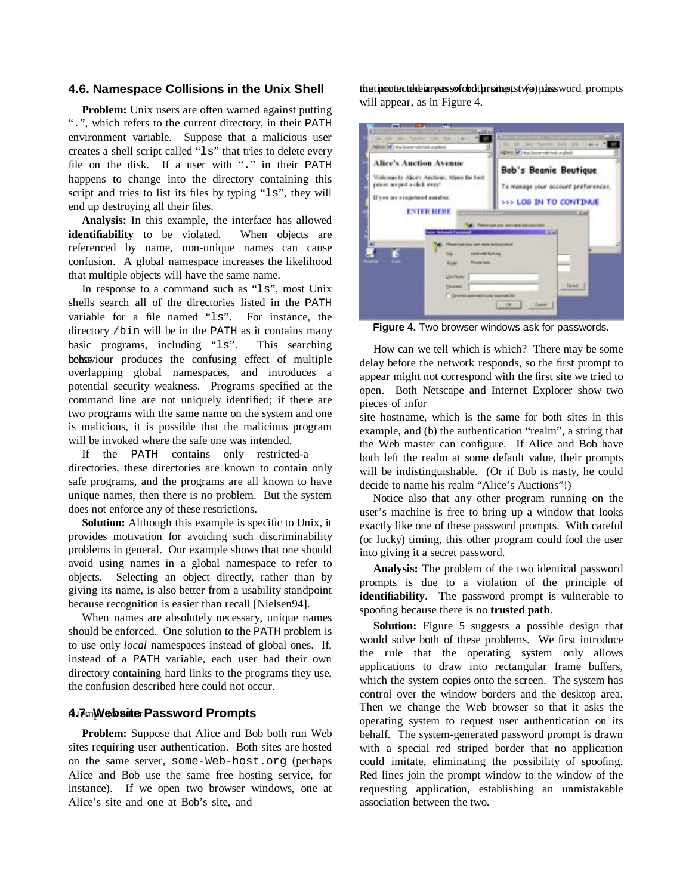# **4.6. Namespace Collisions in the Unix Shell**

**Problem:** Unix users are often warned against putting ".", which refers to the current directory, in their PATH environment variable. Suppose that a malicious user creates a shell script called "ls" that tries to delete every file on the disk. If a user with "." in their PATH happens to change into the directory containing this script and tries to list its files by typing "1s", they will end up destroying all their files.

**Analysis:** In this example, the interface has allowed **identifiability** to be violated. When objects are referenced by name, non-unique names can cause confusion. A global namespace increases the likelihood that multiple objects will have the same name.

In response to a command such as "ls", most Unix shells search all of the directories listed in the PATH variable for a file named "ls". For instance, the directory /bin will be in the PATH as it contains many basic programs, including "ls". This searching behaviour produces the confusing effect of multiple overlapping global namespaces, and introduces a potential security weakness. Programs specified at the command line are not uniquely identified; if there are two programs with the same name on the system and one is malicious, it is possible that the malicious program will be invoked where the safe one was intended.

If the PATH contains only restricted-a directories, these directories are known to contain only safe programs, and the programs are all known to have unique names, then there is no problem. But the system does not enforce any of these restrictions.

**Solution:** Although this example is specific to Unix, it provides motivation for avoiding such discriminability problems in general. Our example shows that one should avoid using names in a global namespace to refer to objects. Selecting an object directly, rather than by giving its name, is also better from a usability standpoint because recognition is easier than recall [Nielsen94].

When names are absolutely necessary, unique names should be enforced. One solution to the PATH problem is to use only *local* namespaces instead of global ones. If, instead of a PATH variable, each user had their own directory containing hard links to the programs they use, the confusion described here could not occur.

# **4tt7cm)WebsitterPassword Prompts**

**Problem:** Suppose that Alice and Bob both run Web sites requiring user authentication. Both sites are hosted on the same server, some-Web-host.org (perhaps Alice and Bob use the same free hosting service, for instance). If we open two browser windows, one at Alice's site and one at Bob's site, and

the tip moting tube in repass sof obdther site pts two phases word prompts will appear, as in Figure 4.



**Figure 4.** Two browser windows ask for passwords.

How can we tell which is which? There may be some delay before the network responds, so the first prompt to appear might not correspond with the first site we tried to open. Both Netscape and Internet Explorer show two pieces of infor

site hostname, which is the same for both sites in this example, and (b) the authentication "realm", a string that the Web master can configure. If Alice and Bob have both left the realm at some default value, their prompts will be indistinguishable. (Or if Bob is nasty, he could decide to name his realm "Alice's Auctions"!)

Notice also that any other program running on the user's machine is free to bring up a window that looks exactly like one of these password prompts. With careful (or lucky) timing, this other program could fool the user into giving it a secret password.

**Analysis:** The problem of the two identical password prompts is due to a violation of the principle of **identifiability**. The password prompt is vulnerable to spoofing because there is no **trusted path**.

**Solution:** Figure 5 suggests a possible design that would solve both of these problems. We first introduce the rule that the operating system only allows applications to draw into rectangular frame buffers, which the system copies onto the screen. The system has control over the window borders and the desktop area. Then we change the Web browser so that it asks the operating system to request user authentication on its behalf. The system-generated password prompt is drawn with a special red striped border that no application could imitate, eliminating the possibility of spoofing. Red lines join the prompt window to the window of the requesting application, establishing an unmistakable association between the two.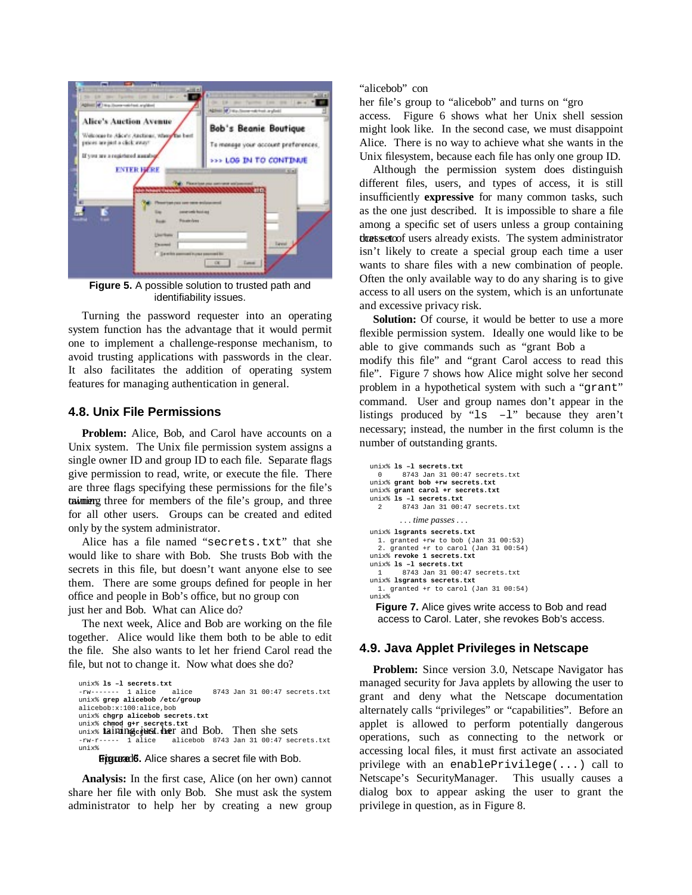

**Figure 5.** A possible solution to trusted path and identifiability issues.

Turning the password requester into an operating system function has the advantage that it would permit one to implement a challenge-response mechanism, to avoid trusting applications with passwords in the clear. It also facilitates the addition of operating system features for managing authentication in general.

### **4.8. Unix File Permissions**

**Problem:** Alice, Bob, and Carol have accounts on a Unix system. The Unix file permission system assigns a single owner ID and group ID to each file. Separate flags give permission to read, write, or execute the file. There are three flags specifying these permissions for the file's taximierg three for members of the file's group, and three for all other users. Groups can be created and edited only by the system administrator.

Alice has a file named "secrets.txt" that she would like to share with Bob. She trusts Bob with the secrets in this file, but doesn't want anyone else to see them. There are some groups defined for people in her office and people in Bob's office, but no group con just her and Bob. What can Alice do?

The next week, Alice and Bob are working on the file together. Alice would like them both to be able to edit the file. She also wants to let her friend Carol read the file, but not to change it. Now what does she do?

unix% **ls –l secrets.txt** 8743 Jan 31 00:47 secrets.txt unix% **grep alicebob /etc/group** alicebob:x:100:alice,bob unix% **chgrp alicebob secrets.txt** unix% **chmod g+r secrets.txt**<br>unix% **laining just.txer** and Bob. Then she sets -rw-r----- 1 alice alicebob 8743 Jan 31 00:47 secrets.txt unix%

Figurad6. Alice shares a secret file with Bob.

**Analysis:** In the first case, Alice (on her own) cannot share her file with only Bob. She must ask the system administrator to help her by creating a new group "alicebob" con

her file's group to "alicebob" and turns on "gro access. Figure 6 shows what her Unix shell session might look like. In the second case, we must disappoint Alice. There is no way to achieve what she wants in the Unix filesystem, because each file has only one group ID.

Although the permission system does distinguish different files, users, and types of access, it is still insufficiently **expressive** for many common tasks, such as the one just described. It is impossible to share a file among a specific set of users unless a group containing the that set of users already exists. The system administrator isn't likely to create a special group each time a user wants to share files with a new combination of people. Often the only available way to do any sharing is to give access to all users on the system, which is an unfortunate and excessive privacy risk.

**Solution:** Of course, it would be better to use a more flexible permission system. Ideally one would like to be able to give commands such as "grant Bob a modify this file" and "grant Carol access to read this file". Figure 7 shows how Alice might solve her second problem in a hypothetical system with such a "grant" command. User and group names don't appear in the listings produced by " $\text{ls}$  -1" because they aren't necessary; instead, the number in the first column is the number of outstanding grants.

```
unix% ls –l secrets.txt
 0 8743 Jan 31 00:47 secrets.txt
unix% grant bob +rw secrets.txt
unix% grant carol +r secrets.txt
unix% ls –l secrets.txt
        2 8743 Jan 31 00:47 secrets.txt
       . . . time passes . . .
unix% lsgrants secrets.txt
  1. granted +rw to bob (Jan 31 00:53)
  2. granted +r to carol (Jan 31 00:54)
unix% revoke 1 secrets.txt
unix% ls –l secrets.txt
        1 8743 Jan 31 00:47 secrets.txt
unix% lsgrants secrets.txt
 1. granted +r to carol (Jan 31 00:54)
unix%
```
**Figure 7.** Alice gives write access to Bob and read access to Carol. Later, she revokes Bob's access.

# **4.9. Java Applet Privileges in Netscape**

**Problem:** Since version 3.0, Netscape Navigator has managed security for Java applets by allowing the user to grant and deny what the Netscape documentation alternately calls "privileges" or "capabilities". Before an applet is allowed to perform potentially dangerous operations, such as connecting to the network or accessing local files, it must first activate an associated privilege with an enablePrivilege(...) call to Netscape's SecurityManager. This usually causes a dialog box to appear asking the user to grant the privilege in question, as in Figure 8.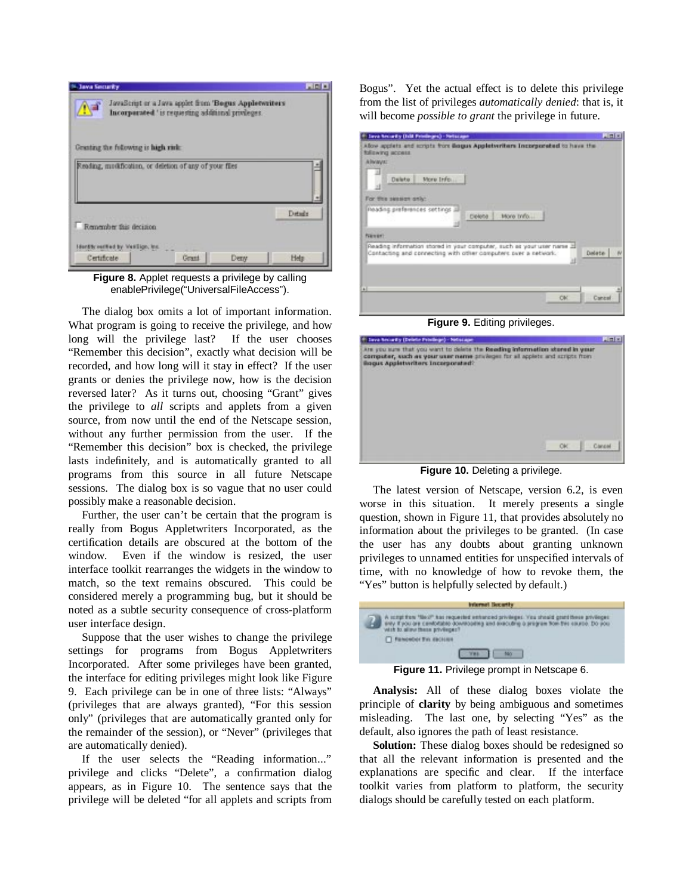

**Figure 8.** Applet requests a privilege by calling enablePrivilege("UniversalFileAccess").

The dialog box omits a lot of important information. What program is going to receive the privilege, and how long will the privilege last? If the user chooses "Remember this decision", exactly what decision will be recorded, and how long will it stay in effect? If the user grants or denies the privilege now, how is the decision reversed later? As it turns out, choosing "Grant" gives the privilege to *all* scripts and applets from a given source, from now until the end of the Netscape session, without any further permission from the user. If the "Remember this decision" box is checked, the privilege lasts indefinitely, and is automatically granted to all programs from this source in all future Netscape sessions. The dialog box is so vague that no user could possibly make a reasonable decision.

Further, the user can't be certain that the program is really from Bogus Appletwriters Incorporated, as the certification details are obscured at the bottom of the window. Even if the window is resized, the user interface toolkit rearranges the widgets in the window to match, so the text remains obscured. This could be considered merely a programming bug, but it should be noted as a subtle security consequence of cross-platform user interface design.

Suppose that the user wishes to change the privilege settings for programs from Bogus Appletwriters Incorporated. After some privileges have been granted, the interface for editing privileges might look like Figure 9. Each privilege can be in one of three lists: "Always" (privileges that are always granted), "For this session only" (privileges that are automatically granted only for the remainder of the session), or "Never" (privileges that are automatically denied).

If the user selects the "Reading information..." privilege and clicks "Delete", a confirmation dialog appears, as in Figure 10. The sentence says that the privilege will be deleted "for all applets and scripts from

Bogus". Yet the actual effect is to delete this privilege from the list of privileges *automatically denied*: that is, it will become *possible to grant* the privilege in future.

| 1 Sava Necardy Dill Printinges) - Netscape                                                                                                                                                                                         | 周囲図     |
|------------------------------------------------------------------------------------------------------------------------------------------------------------------------------------------------------------------------------------|---------|
| Allow applets and acripts from Bagus Appleterritars Incorporated to have the<br><b>fallowing access</b><br><b>ABVAVA:</b><br>More Info<br>Dalete:<br>For this season only:<br>Roading preferences settings<br>More trifo<br>Delete |         |
| Painter)<br>Reading information stored in your computer, such as your user name 20<br>Contacting and connecting with other computers over a network.                                                                               | Datate: |
| $\overline{1}$<br>OK.                                                                                                                                                                                                              | Cantral |

**Figure 9.** Editing privileges.

| 4 Sava Neckarty (Detelle Printlege) - Nelscape                                                                                                                                                                       |        |
|----------------------------------------------------------------------------------------------------------------------------------------------------------------------------------------------------------------------|--------|
| Are you sure that you want to delete the Reading information stored in year<br>computer, such as your user name present for all applets and scripts from<br><b><i><u>Boque Appletive there Incorporated?</u></i></b> |        |
|                                                                                                                                                                                                                      |        |
|                                                                                                                                                                                                                      |        |
|                                                                                                                                                                                                                      | Cancel |
| <b>Figure 10.</b> Deleting a privilege.                                                                                                                                                                              |        |

The latest version of Netscape, version 6.2, is even

worse in this situation. It merely presents a single question, shown in Figure 11, that provides absolutely no information about the privileges to be granted. (In case the user has any doubts about granting unknown privileges to unnamed entities for unspecified intervals of time, with no knowledge of how to revoke them, the "Yes" button is helpfully selected by default.)



**Figure 11.** Privilege prompt in Netscape 6.

**Analysis:** All of these dialog boxes violate the principle of **clarity** by being ambiguous and sometimes misleading. The last one, by selecting "Yes" as the default, also ignores the path of least resistance.

**Solution:** These dialog boxes should be redesigned so that all the relevant information is presented and the explanations are specific and clear. If the interface toolkit varies from platform to platform, the security dialogs should be carefully tested on each platform.